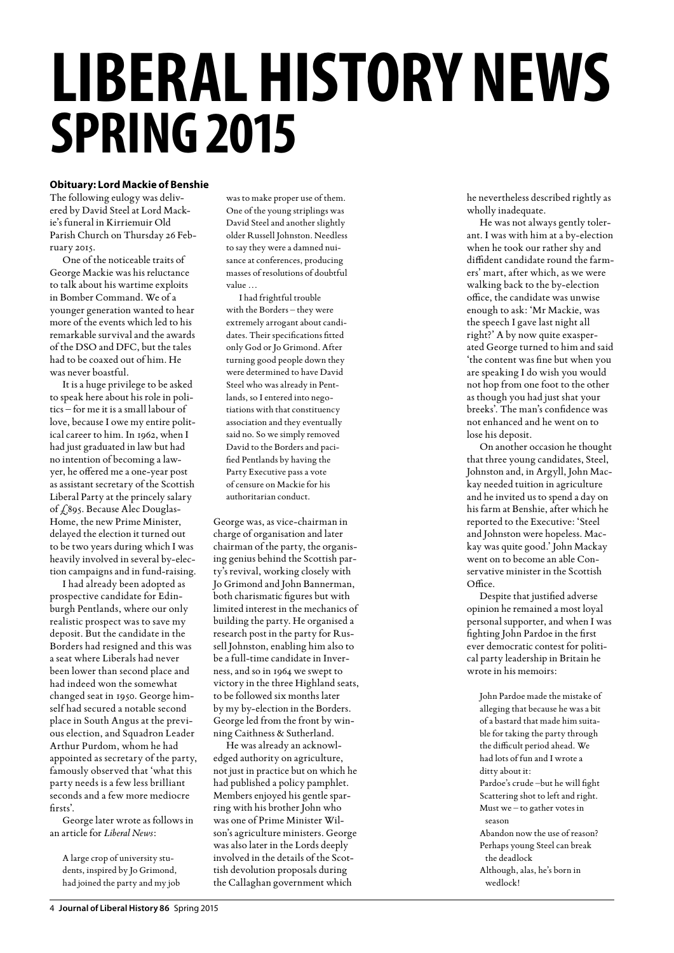# **LIBERAL HISTORY NEWS Spring 2015**

## **Obituary: Lord Mackie of Benshie**

The following eulogy was delivered by David Steel at Lord Mackie's funeral in Kirriemuir Old Parish Church on Thursday 26 February 2015.

One of the noticeable traits of George Mackie was his reluctance to talk about his wartime exploits in Bomber Command. We of a younger generation wanted to hear more of the events which led to his remarkable survival and the awards of the DSO and DFC, but the tales had to be coaxed out of him. He was never boastful.

It is a huge privilege to be asked to speak here about his role in politics – for me it is a small labour of love, because I owe my entire political career to him. In 1962, when I had just graduated in law but had no intention of becoming a lawyer, he offered me a one-year post as assistant secretary of the Scottish Liberal Party at the princely salary of £895. Because Alec Douglas-Home, the new Prime Minister, delayed the election it turned out to be two years during which I was heavily involved in several by-election campaigns and in fund-raising.

I had already been adopted as prospective candidate for Edinburgh Pentlands, where our only realistic prospect was to save my deposit. But the candidate in the Borders had resigned and this was a seat where Liberals had never been lower than second place and had indeed won the somewhat changed seat in 1950. George himself had secured a notable second place in South Angus at the previous election, and Squadron Leader Arthur Purdom, whom he had appointed as secretary of the party, famously observed that 'what this party needs is a few less brilliant seconds and a few more mediocre firsts'.

George later wrote as follows in an article for *Liberal News*:

A large crop of university students, inspired by Jo Grimond, had joined the party and my job was to make proper use of them. One of the young striplings was David Steel and another slightly older Russell Johnston. Needless to say they were a damned nuisance at conferences, producing masses of resolutions of doubtful value …

I had frightful trouble with the Borders – they were extremely arrogant about candidates. Their specifications fitted only God or Jo Grimond. After turning good people down they were determined to have David Steel who was already in Pentlands, so I entered into negotiations with that constituency association and they eventually said no. So we simply removed David to the Borders and pacified Pentlands by having the Party Executive pass a vote of censure on Mackie for his authoritarian conduct.

George was, as vice-chairman in charge of organisation and later chairman of the party, the organising genius behind the Scottish party's revival, working closely with Jo Grimond and John Bannerman, both charismatic figures but with limited interest in the mechanics of building the party. He organised a research post in the party for Russell Johnston, enabling him also to be a full-time candidate in Inverness, and so in 1964 we swept to victory in the three Highland seats, to be followed six months later by my by-election in the Borders. George led from the front by winning Caithness & Sutherland.

He was already an acknowledged authority on agriculture, not just in practice but on which he had published a policy pamphlet. Members enjoyed his gentle sparring with his brother John who was one of Prime Minister Wilson's agriculture ministers. George was also later in the Lords deeply involved in the details of the Scottish devolution proposals during the Callaghan government which

he nevertheless described rightly as wholly inadequate.

He was not always gently tolerant. I was with him at a by-election when he took our rather shy and diffident candidate round the farmers' mart, after which, as we were walking back to the by-election office, the candidate was unwise enough to ask: 'Mr Mackie, was the speech I gave last night all right?' A by now quite exasperated George turned to him and said 'the content was fine but when you are speaking I do wish you would not hop from one foot to the other as though you had just shat your breeks'. The man's confidence was not enhanced and he went on to lose his deposit.

On another occasion he thought that three young candidates, Steel, Johnston and, in Argyll, John Mackay needed tuition in agriculture and he invited us to spend a day on his farm at Benshie, after which he reported to the Executive: 'Steel and Johnston were hopeless. Mackay was quite good.' John Mackay went on to become an able Conservative minister in the Scottish Office.

Despite that justified adverse opinion he remained a most loyal personal supporter, and when I was fighting John Pardoe in the first ever democratic contest for political party leadership in Britain he wrote in his memoirs:

John Pardoe made the mistake of alleging that because he was a bit of a bastard that made him suitable for taking the party through the difficult period ahead. We had lots of fun and I wrote a ditty about it: Pardoe's crude –but he will fight Scattering shot to left and right. Must we – to gather votes in season Abandon now the use of reason? Perhaps young Steel can break the deadlock Although, alas, he's born in wedlock!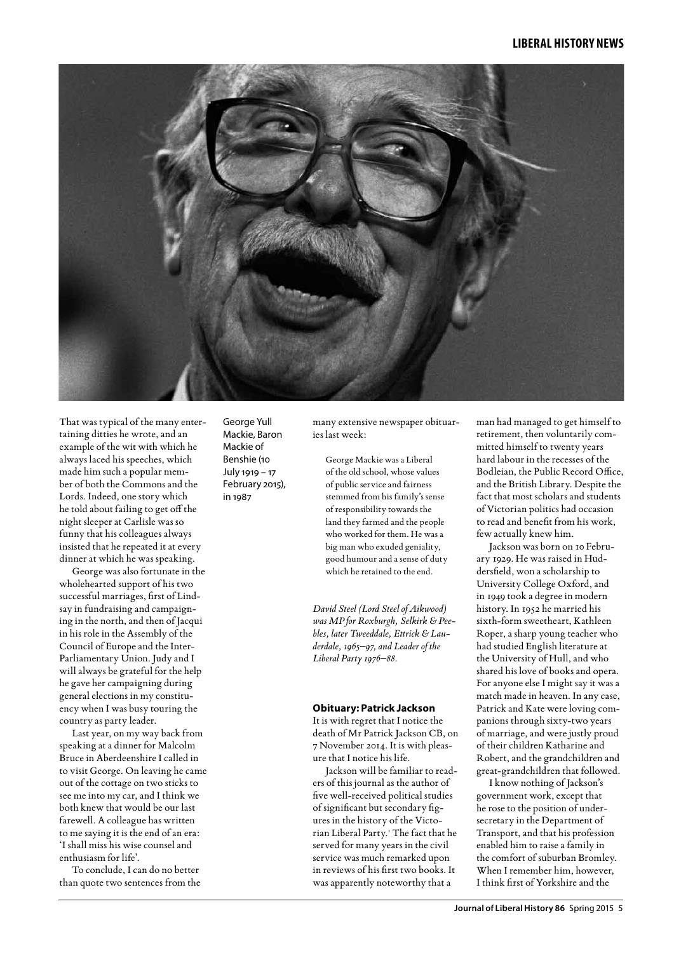

That was typical of the many entertaining ditties he wrote, and an example of the wit with which he always laced his speeches, which made him such a popular member of both the Commons and the Lords. Indeed, one story which he told about failing to get off the night sleeper at Carlisle was so funny that his colleagues always insisted that he repeated it at every dinner at which he was speaking.

George was also fortunate in the wholehearted support of his two successful marriages, first of Lindsay in fundraising and campaigning in the north, and then of Jacqui in his role in the Assembly of the Council of Europe and the Inter-Parliamentary Union. Judy and I will always be grateful for the help he gave her campaigning during general elections in my constituency when I was busy touring the country as party leader.

Last year, on my way back from speaking at a dinner for Malcolm Bruce in Aberdeenshire I called in to visit George. On leaving he came out of the cottage on two sticks to see me into my car, and I think we both knew that would be our last farewell. A colleague has written to me saying it is the end of an era: 'I shall miss his wise counsel and enthusiasm for life'.

To conclude, I can do no better than quote two sentences from the George Yull Mackie, Baron Mackie of Benshie (10 July 1919 – 17 February 2015), in 1987

many extensive newspaper obituaries last week:

George Mackie was a Liberal of the old school, whose values of public service and fairness stemmed from his family's sense of responsibility towards the land they farmed and the people who worked for them. He was a big man who exuded geniality, good humour and a sense of duty which he retained to the end.

*David Steel (Lord Steel of Aikwood) was MP for Roxburgh, Selkirk & Peebles, later Tweeddale, Ettrick & Lauderdale, 1965–97, and Leader of the Liberal Party 1976–88.*

#### **Obituary: Patrick Jackson**

It is with regret that I notice the death of Mr Patrick Jackson CB, on 7 November 2014. It is with pleasure that I notice his life.

Jackson will be familiar to readers of this journal as the author of five well-received political studies of significant but secondary figures in the history of the Victorian Liberal Party.1 The fact that he served for many years in the civil service was much remarked upon in reviews of his first two books. It was apparently noteworthy that a

man had managed to get himself to retirement, then voluntarily committed himself to twenty years hard labour in the recesses of the Bodleian, the Public Record Office, and the British Library. Despite the fact that most scholars and students of Victorian politics had occasion to read and benefit from his work, few actually knew him.

Jackson was born on 10 February 1929. He was raised in Huddersfield, won a scholarship to University College Oxford, and in 1949 took a degree in modern history. In 1952 he married his sixth-form sweetheart, Kathleen Roper, a sharp young teacher who had studied English literature at the University of Hull, and who shared his love of books and opera. For anyone else I might say it was a match made in heaven. In any case, Patrick and Kate were loving companions through sixty-two years of marriage, and were justly proud of their children Katharine and Robert, and the grandchildren and great-grandchildren that followed.

I know nothing of Jackson's government work, except that he rose to the position of undersecretary in the Department of Transport, and that his profession enabled him to raise a family in the comfort of suburban Bromley. When I remember him, however, I think first of Yorkshire and the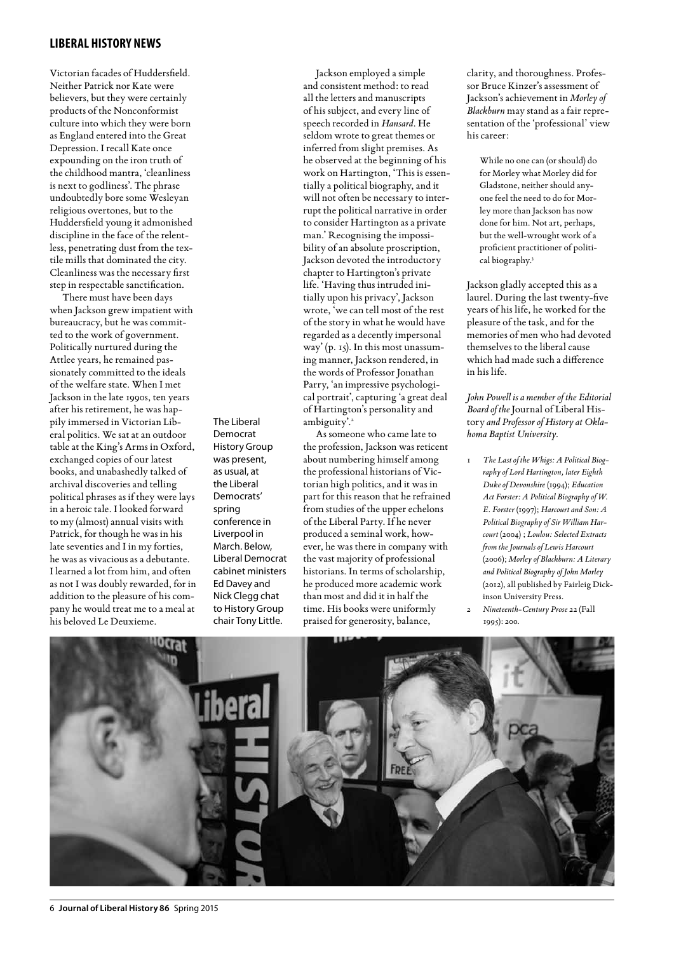# **liberal history news**

Victorian facades of Huddersfield. Neither Patrick nor Kate were believers, but they were certainly products of the Nonconformist culture into which they were born as England entered into the Great Depression. I recall Kate once expounding on the iron truth of the childhood mantra, 'cleanliness is next to godliness'. The phrase undoubtedly bore some Wesleyan religious overtones, but to the Huddersfield young it admonished discipline in the face of the relentless, penetrating dust from the textile mills that dominated the city. Cleanliness was the necessary first step in respectable sanctification.

There must have been days when Jackson grew impatient with bureaucracy, but he was committed to the work of government. Politically nurtured during the Attlee years, he remained passionately committed to the ideals of the welfare state. When I met Jackson in the late 1990s, ten years after his retirement, he was happily immersed in Victorian Liberal politics. We sat at an outdoor table at the King's Arms in Oxford, exchanged copies of our latest books, and unabashedly talked of archival discoveries and telling political phrases as if they were lays in a heroic tale. I looked forward to my (almost) annual visits with Patrick, for though he was in his late seventies and I in my forties, he was as vivacious as a debutante. I learned a lot from him, and often as not I was doubly rewarded, for in addition to the pleasure of his company he would treat me to a meal at his beloved Le Deuxieme.

The Liberal Democrat History Group was present, as usual, at the Liberal Democrats' spring conference in Liverpool in March. Below, Liberal Democrat cabinet ministers Ed Davey and Nick Clegg chat to History Group chair Tony Little.

Jackson employed a simple and consistent method: to read all the letters and manuscripts of his subject, and every line of speech recorded in *Hansard*. He seldom wrote to great themes or inferred from slight premises. As he observed at the beginning of his work on Hartington, 'This is essentially a political biography, and it will not often be necessary to interrupt the political narrative in order to consider Hartington as a private man.' Recognising the impossibility of an absolute proscription, Jackson devoted the introductory chapter to Hartington's private life. 'Having thus intruded initially upon his privacy', Jackson wrote, 'we can tell most of the rest of the story in what he would have regarded as a decently impersonal way' (p. 15). In this most unassuming manner, Jackson rendered, in the words of Professor Jonathan Parry, 'an impressive psychological portrait', capturing 'a great deal of Hartington's personality and ambiguity'.<sup>2</sup>

As someone who came late to the profession, Jackson was reticent about numbering himself among the professional historians of Victorian high politics, and it was in part for this reason that he refrained from studies of the upper echelons of the Liberal Party. If he never produced a seminal work, however, he was there in company with the vast majority of professional historians. In terms of scholarship, he produced more academic work than most and did it in half the time. His books were uniformly praised for generosity, balance,

clarity, and thoroughness. Professor Bruce Kinzer's assessment of Jackson's achievement in *Morley of Blackburn* may stand as a fair representation of the 'professional' view his career:

While no one can (or should) do for Morley what Morley did for Gladstone, neither should anyone feel the need to do for Morley more than Jackson has now done for him. Not art, perhaps, but the well-wrought work of a proficient practitioner of political biography.<sup>3</sup>

Jackson gladly accepted this as a laurel. During the last twenty-five years of his life, he worked for the pleasure of the task, and for the memories of men who had devoted themselves to the liberal cause which had made such a difference in his life.

*John Powell is a member of the Editorial Board of the* Journal of Liberal History *and Professor of History at Oklahoma Baptist University.*

1 *The Last of the Whigs: A Political Biography of Lord Hartington, later Eighth Duke of Devonshire* (1994); *Education Act Forster: A Political Biography of W. E. Forster* (1997); *Harcourt and Son: A Political Biography of Sir William Harcourt* (2004) ; *Loulou: Selected Extracts from the Journals of Lewis Harcourt* (2006); *Morley of Blackburn: A Literary and Political Biography of John Morley* (2012), all published by Fairleig Dickinson University Press. 2 *Nineteenth-Century Prose* 22 (Fall 1995): 200.